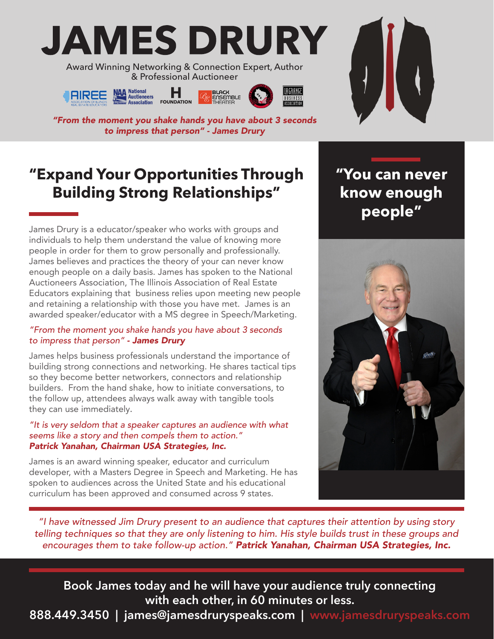# **JAMES DRURY**

Award Winning Networking & Connection Expert, Author & Professional Auctioneer





**BLACK<br>ENSEMBLE** 



*"From the moment you shake hands you have about 3 seconds to impress that person" - James Drury*

## **"Expand Your Opportunities Through Building Strong Relationships"**

James Drury is a educator/speaker who works with groups and individuals to help them understand the value of knowing more people in order for them to grow personally and professionally. James believes and practices the theory of your can never know enough people on a daily basis. James has spoken to the National Auctioneers Association, The Illinois Association of Real Estate Educators explaining that business relies upon meeting new people and retaining a relationship with those you have met. James is an awarded speaker/educator with a MS degree in Speech/Marketing.

#### *"From the moment you shake hands you have about 3 seconds to impress that person" - James Drury*

James helps business professionals understand the importance of building strong connections and networking. He shares tactical tips so they become better networkers, connectors and relationship builders. From the hand shake, how to initiate conversations, to the follow up, attendees always walk away with tangible tools they can use immediately.

#### *"It is very seldom that a speaker captures an audience with what seems like a story and then compels them to action." Patrick Yanahan, Chairman USA Strategies, Inc.*

James is an award winning speaker, educator and curriculum developer, with a Masters Degree in Speech and Marketing. He has spoken to audiences across the United State and his educational curriculum has been approved and consumed across 9 states.

**"You can never know enough people"**



*"I have witnessed Jim Drury present to an audience that captures their attention by using story telling techniques so that they are only listening to him. His style builds trust in these groups and encourages them to take follow-up action." Patrick Yanahan, Chairman USA Strategies, Inc.*

**Book James today and he will have your audience truly connecting with each other, in 60 minutes or less.**

**888.449.3450 | james@jamesdruryspeaks.com | www.jamesdruryspeaks.com**